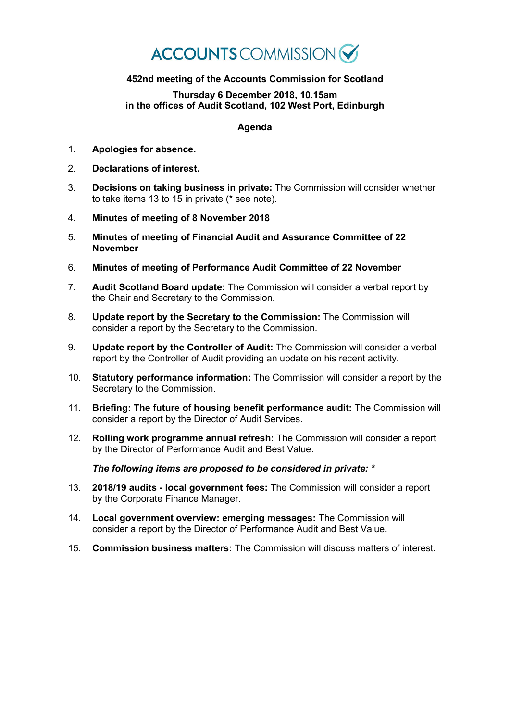## **ACCOUNTS** COMMISSION

## **452nd meeting of the Accounts Commission for Scotland**

**Thursday 6 December 2018, 10.15am in the offices of Audit Scotland, 102 West Port, Edinburgh**

## **Agenda**

- 1. **Apologies for absence.**
- 2. **Declarations of interest.**
- 3. **Decisions on taking business in private:** The Commission will consider whether to take items 13 to 15 in private (\* see note).
- 4. **Minutes of meeting of 8 November 2018**
- 5. **Minutes of meeting of Financial Audit and Assurance Committee of 22 November**
- 6. **Minutes of meeting of Performance Audit Committee of 22 November**
- 7. **Audit Scotland Board update:** The Commission will consider a verbal report by the Chair and Secretary to the Commission.
- 8. **Update report by the Secretary to the Commission:** The Commission will consider a report by the Secretary to the Commission.
- 9. **Update report by the Controller of Audit:** The Commission will consider a verbal report by the Controller of Audit providing an update on his recent activity.
- 10. **Statutory performance information:** The Commission will consider a report by the Secretary to the Commission.
- 11. **Briefing: The future of housing benefit performance audit:** The Commission will consider a report by the Director of Audit Services.
- 12. **Rolling work programme annual refresh:** The Commission will consider a report by the Director of Performance Audit and Best Value.

*The following items are proposed to be considered in private: \**

- 13. **2018/19 audits - local government fees:** The Commission will consider a report by the Corporate Finance Manager.
- 14. **Local government overview: emerging messages:** The Commission will consider a report by the Director of Performance Audit and Best Value**.**
- 15. **Commission business matters:** The Commission will discuss matters of interest.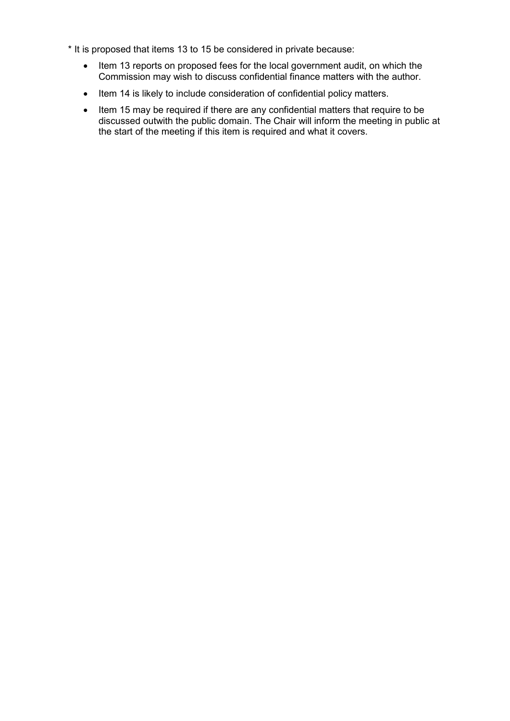- \* It is proposed that items 13 to 15 be considered in private because:
	- Item 13 reports on proposed fees for the local government audit, on which the Commission may wish to discuss confidential finance matters with the author.
	- Item 14 is likely to include consideration of confidential policy matters.
	- Item 15 may be required if there are any confidential matters that require to be discussed outwith the public domain. The Chair will inform the meeting in public at the start of the meeting if this item is required and what it covers.